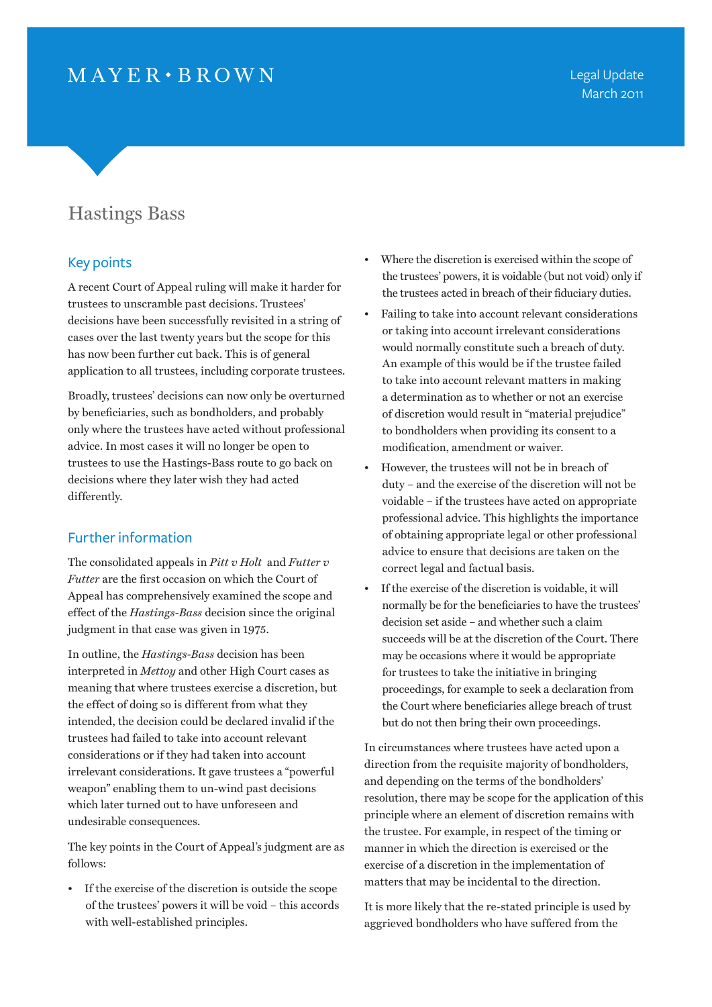## $MAYER \cdot BROWN$

## Hastings Bass

## Key points

A recent Court of Appeal ruling will make it harder for trustees to unscramble past decisions. Trustees' decisions have been successfully revisited in a string of cases over the last twenty years but the scope for this has now been further cut back. This is of general application to all trustees, including corporate trustees.

Broadly, trustees' decisions can now only be overturned by beneficiaries, such as bondholders, and probably only where the trustees have acted without professional advice. In most cases it will no longer be open to trustees to use the Hastings-Bass route to go back on decisions where they later wish they had acted differently.

## Further information

The consolidated appeals in *Pitt v Holt* and *Futter v Futter* are the first occasion on which the Court of Appeal has comprehensively examined the scope and effect of the *Hastings-Bass* decision since the original judgment in that case was given in 1975.

In outline, the *Hastings-Bass* decision has been interpreted in *Mettoy* and other High Court cases as meaning that where trustees exercise a discretion, but the effect of doing so is different from what they intended, the decision could be declared invalid if the trustees had failed to take into account relevant considerations or if they had taken into account irrelevant considerations. It gave trustees a "powerful weapon" enabling them to un-wind past decisions which later turned out to have unforeseen and undesirable consequences.

The key points in the Court of Appeal's judgment are as follows:

• If the exercise of the discretion is outside the scope of the trustees' powers it will be void – this accords with well-established principles.

- Where the discretion is exercised within the scope of the trustees' powers, it is voidable (but not void) only if the trustees acted in breach of their fiduciary duties.
- Failing to take into account relevant considerations or taking into account irrelevant considerations would normally constitute such a breach of duty. An example of this would be if the trustee failed to take into account relevant matters in making a determination as to whether or not an exercise of discretion would result in "material prejudice" to bondholders when providing its consent to a modification, amendment or waiver.
- However, the trustees will not be in breach of duty – and the exercise of the discretion will not be voidable – if the trustees have acted on appropriate professional advice. This highlights the importance of obtaining appropriate legal or other professional advice to ensure that decisions are taken on the correct legal and factual basis.
- If the exercise of the discretion is voidable, it will normally be for the beneficiaries to have the trustees' decision set aside – and whether such a claim succeeds will be at the discretion of the Court. There may be occasions where it would be appropriate for trustees to take the initiative in bringing proceedings, for example to seek a declaration from the Court where beneficiaries allege breach of trust but do not then bring their own proceedings.

In circumstances where trustees have acted upon a direction from the requisite majority of bondholders, and depending on the terms of the bondholders' resolution, there may be scope for the application of this principle where an element of discretion remains with the trustee. For example, in respect of the timing or manner in which the direction is exercised or the exercise of a discretion in the implementation of matters that may be incidental to the direction.

It is more likely that the re-stated principle is used by aggrieved bondholders who have suffered from the